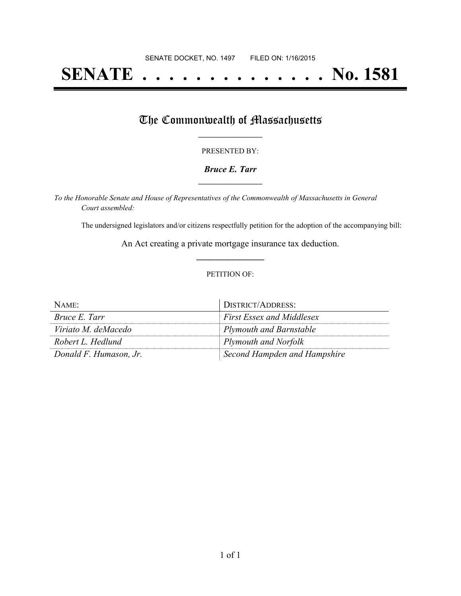# **SENATE . . . . . . . . . . . . . . No. 1581**

## The Commonwealth of Massachusetts

#### PRESENTED BY:

#### *Bruce E. Tarr* **\_\_\_\_\_\_\_\_\_\_\_\_\_\_\_\_\_**

*To the Honorable Senate and House of Representatives of the Commonwealth of Massachusetts in General Court assembled:*

The undersigned legislators and/or citizens respectfully petition for the adoption of the accompanying bill:

An Act creating a private mortgage insurance tax deduction. **\_\_\_\_\_\_\_\_\_\_\_\_\_\_\_**

#### PETITION OF:

| NAME:                  | DISTRICT/ADDRESS:                |
|------------------------|----------------------------------|
| <i>Bruce E. Tarr</i>   | <b>First Essex and Middlesex</b> |
| Viriato M. deMacedo    | $\vert$ Plymouth and Barnstable  |
| Robert L. Hedlund      | Plymouth and Norfolk             |
| Donald F. Humason, Jr. | Second Hampden and Hampshire     |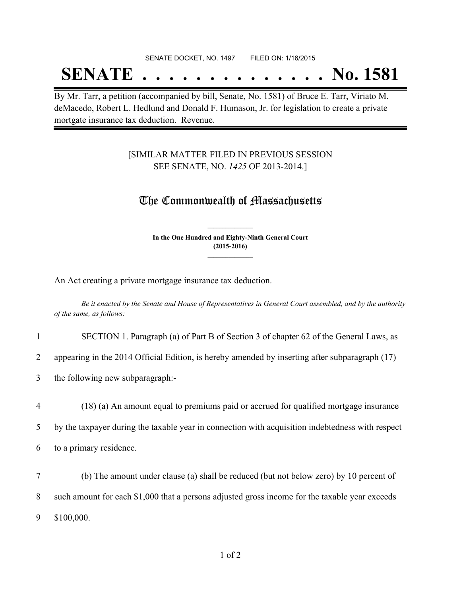#### SENATE DOCKET, NO. 1497 FILED ON: 1/16/2015

# **SENATE . . . . . . . . . . . . . . No. 1581**

By Mr. Tarr, a petition (accompanied by bill, Senate, No. 1581) of Bruce E. Tarr, Viriato M. deMacedo, Robert L. Hedlund and Donald F. Humason, Jr. for legislation to create a private mortgate insurance tax deduction. Revenue.

### [SIMILAR MATTER FILED IN PREVIOUS SESSION SEE SENATE, NO. *1425* OF 2013-2014.]

### The Commonwealth of Massachusetts

**In the One Hundred and Eighty-Ninth General Court (2015-2016) \_\_\_\_\_\_\_\_\_\_\_\_\_\_\_**

**\_\_\_\_\_\_\_\_\_\_\_\_\_\_\_**

An Act creating a private mortgage insurance tax deduction.

Be it enacted by the Senate and House of Representatives in General Court assembled, and by the authority *of the same, as follows:*

| SECTION 1. Paragraph (a) of Part B of Section 3 of chapter 62 of the General Laws, as |
|---------------------------------------------------------------------------------------|
|---------------------------------------------------------------------------------------|

2 appearing in the 2014 Official Edition, is hereby amended by inserting after subparagraph (17)

3 the following new subparagraph:-

4 (18) (a) An amount equal to premiums paid or accrued for qualified mortgage insurance 5 by the taxpayer during the taxable year in connection with acquisition indebtedness with respect 6 to a primary residence.

7 (b) The amount under clause (a) shall be reduced (but not below zero) by 10 percent of 8 such amount for each \$1,000 that a persons adjusted gross income for the taxable year exceeds 9 \$100,000.